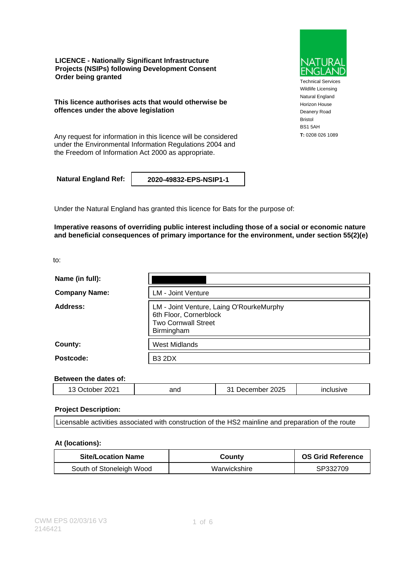**LICENCE - Nationally Significant Infrastructure Projects (NSIPs) following Development Consent Order being granted**

**This licence authorises acts that would otherwise be offences under the above legislation**

**T:** 0208 026 1089 Any request for information in this licence will be considered under the Environmental Information Regulations 2004 and the Freedom of Information Act 2000 as appropriate.

**Natural England Ref: 2020-49832-EPS-NSIP1-1**

Under the Natural England has granted this licence for Bats for the purpose of:

**Imperative reasons of overriding public interest including those of a social or economic nature and beneficial consequences of primary importance for the environment, under section 55(2)(e)**

to:

| Name (in full):      |                                                                                                                |
|----------------------|----------------------------------------------------------------------------------------------------------------|
| <b>Company Name:</b> | <b>LM - Joint Venture</b>                                                                                      |
| Address:             | LM - Joint Venture, Laing O'RourkeMurphy<br>6th Floor, Cornerblock<br><b>Two Cornwall Street</b><br>Birmingham |
| County:              | <b>West Midlands</b>                                                                                           |
| Postcode:            | <b>B3 2DX</b>                                                                                                  |

#### **Between the dates of:**

|  | $\sim$ $\sim$<br>ላን:<br><br>и<br>∼ | and | ∠025<br>. .<br>∙ ⊶ د | . |
|--|------------------------------------|-----|----------------------|---|
|--|------------------------------------|-----|----------------------|---|

### **Project Description:**

Licensable activities associated with construction of the HS2 mainline and preparation of the route

### **At (locations):**

| <b>Site/Location Name</b> | Countv       | <b>OS Grid Reference</b> |
|---------------------------|--------------|--------------------------|
| South of Stoneleigh Wood  | Warwickshire | SP332709                 |



Technical Services Wildlife Licensing Natural England Horizon House Deanery Road Bristol BS1 5AH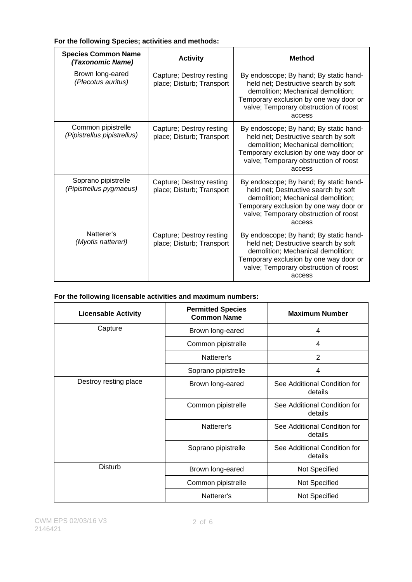| <b>Species Common Name</b><br>(Taxonomic Name)    | <b>Activity</b>                                       | <b>Method</b>                                                                                                                                                                                                     |
|---------------------------------------------------|-------------------------------------------------------|-------------------------------------------------------------------------------------------------------------------------------------------------------------------------------------------------------------------|
| Brown long-eared<br>(Plecotus auritus)            | Capture; Destroy resting<br>place; Disturb; Transport | By endoscope; By hand; By static hand-<br>held net; Destructive search by soft<br>demolition; Mechanical demolition;<br>Temporary exclusion by one way door or<br>valve; Temporary obstruction of roost<br>access |
| Common pipistrelle<br>(Pipistrellus pipistrellus) | Capture; Destroy resting<br>place; Disturb; Transport | By endoscope; By hand; By static hand-<br>held net; Destructive search by soft<br>demolition; Mechanical demolition;<br>Temporary exclusion by one way door or<br>valve; Temporary obstruction of roost<br>access |
| Soprano pipistrelle<br>(Pipistrellus pygmaeus)    | Capture; Destroy resting<br>place; Disturb; Transport | By endoscope; By hand; By static hand-<br>held net; Destructive search by soft<br>demolition; Mechanical demolition;<br>Temporary exclusion by one way door or<br>valve; Temporary obstruction of roost<br>access |
| Natterer's<br>(Myotis nattereri)                  | Capture; Destroy resting<br>place; Disturb; Transport | By endoscope; By hand; By static hand-<br>held net; Destructive search by soft<br>demolition; Mechanical demolition;<br>Temporary exclusion by one way door or<br>valve; Temporary obstruction of roost<br>access |

### **For the following Species; activities and methods:**

### **For the following licensable activities and maximum numbers:**

| <b>Licensable Activity</b> | <b>Permitted Species</b><br><b>Common Name</b> | <b>Maximum Number</b>                   |
|----------------------------|------------------------------------------------|-----------------------------------------|
| Capture                    | Brown long-eared                               | 4                                       |
|                            | Common pipistrelle                             | 4                                       |
|                            | Natterer's                                     | 2                                       |
|                            | Soprano pipistrelle                            | 4                                       |
| Destroy resting place      | Brown long-eared                               | See Additional Condition for<br>details |
|                            | Common pipistrelle                             | See Additional Condition for<br>details |
|                            | Natterer's                                     | See Additional Condition for<br>details |
|                            | Soprano pipistrelle                            | See Additional Condition for<br>details |
| <b>Disturb</b>             | Brown long-eared                               | Not Specified                           |
|                            | Common pipistrelle                             | Not Specified                           |
|                            | Natterer's                                     | Not Specified                           |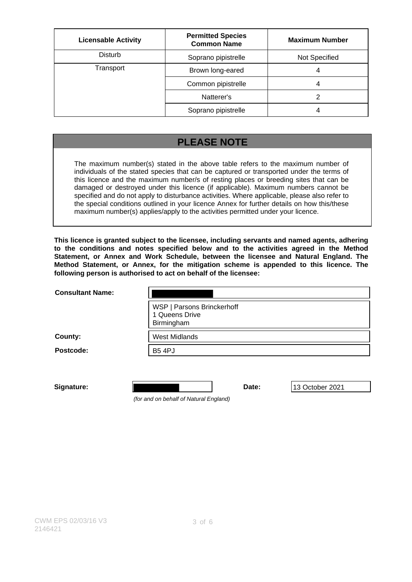| <b>Licensable Activity</b> | <b>Permitted Species</b><br><b>Common Name</b> | <b>Maximum Number</b> |
|----------------------------|------------------------------------------------|-----------------------|
| <b>Disturb</b>             | Soprano pipistrelle                            | Not Specified         |
| Transport                  | Brown long-eared                               | 4                     |
|                            | Common pipistrelle                             | Δ                     |
|                            | Natterer's                                     |                       |
|                            | Soprano pipistrelle                            |                       |

## **PLEASE NOTE**

The maximum number(s) stated in the above table refers to the maximum number of individuals of the stated species that can be captured or transported under the terms of this licence and the maximum number/s of resting places or breeding sites that can be damaged or destroyed under this licence (if applicable). Maximum numbers cannot be specified and do not apply to disturbance activities. Where applicable, please also refer to the special conditions outlined in your licence Annex for further details on how this/these maximum number(s) applies/apply to the activities permitted under your licence.

**This licence is granted subject to the licensee, including servants and named agents, adhering to the conditions and notes specified below and to the activities agreed in the Method Statement, or Annex and Work Schedule, between the licensee and Natural England. The Method Statement, or Annex, for the mitigation scheme is appended to this licence. The following person is authorised to act on behalf of the licensee:**

| <b>Consultant Name:</b> |                                                            |       |                 |
|-------------------------|------------------------------------------------------------|-------|-----------------|
|                         | WSP   Parsons Brinckerhoff<br>1 Queens Drive<br>Birmingham |       |                 |
| County:                 | <b>West Midlands</b>                                       |       |                 |
| Postcode:               | <b>B5 4PJ</b>                                              |       |                 |
|                         |                                                            |       |                 |
| Signature:              |                                                            | Date: | 13 October 2021 |

(for and on behalf of Natural England)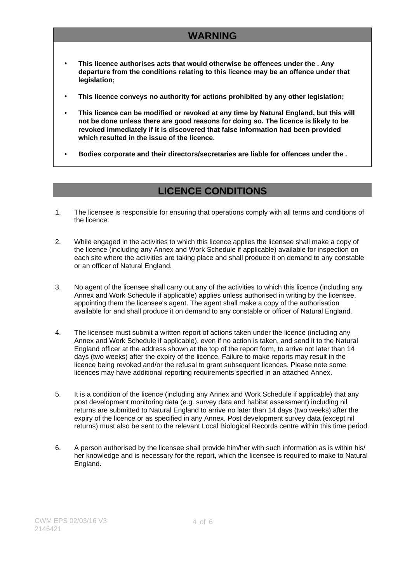# **WARNING**

- **This licence authorises acts that would otherwise be offences under the . Any departure from the conditions relating to this licence may be an offence under that legislation;**
- **This licence conveys no authority for actions prohibited by any other legislation;**
- **This licence can be modified or revoked at any time by Natural England, but this will not be done unless there are good reasons for doing so. The licence is likely to be revoked immediately if it is discovered that false information had been provided which resulted in the issue of the licence.**
- **Bodies corporate and their directors/secretaries are liable for offences under the .**

## **LICENCE CONDITIONS**

- 1. The licensee is responsible for ensuring that operations comply with all terms and conditions of the licence.
- 2. While engaged in the activities to which this licence applies the licensee shall make a copy of the licence (including any Annex and Work Schedule if applicable) available for inspection on each site where the activities are taking place and shall produce it on demand to any constable or an officer of Natural England.
- 3. No agent of the licensee shall carry out any of the activities to which this licence (including any Annex and Work Schedule if applicable) applies unless authorised in writing by the licensee, appointing them the licensee's agent. The agent shall make a copy of the authorisation available for and shall produce it on demand to any constable or officer of Natural England.
- 4. The licensee must submit a written report of actions taken under the licence (including any Annex and Work Schedule if applicable), even if no action is taken, and send it to the Natural England officer at the address shown at the top of the report form, to arrive not later than 14 days (two weeks) after the expiry of the licence. Failure to make reports may result in the licence being revoked and/or the refusal to grant subsequent licences. Please note some licences may have additional reporting requirements specified in an attached Annex.
- 5. It is a condition of the licence (including any Annex and Work Schedule if applicable) that any post development monitoring data (e.g. survey data and habitat assessment) including nil returns are submitted to Natural England to arrive no later than 14 days (two weeks) after the expiry of the licence or as specified in any Annex. Post development survey data (except nil returns) must also be sent to the relevant Local Biological Records centre within this time period.
- 6. A person authorised by the licensee shall provide him/her with such information as is within his/ her knowledge and is necessary for the report, which the licensee is required to make to Natural England.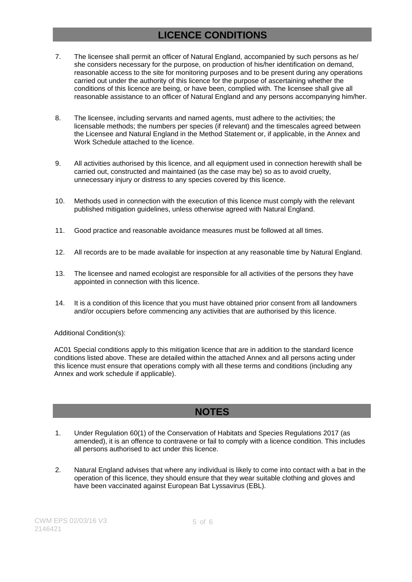## **LICENCE CONDITIONS**

- 7. The licensee shall permit an officer of Natural England, accompanied by such persons as he/ she considers necessary for the purpose, on production of his/her identification on demand, reasonable access to the site for monitoring purposes and to be present during any operations carried out under the authority of this licence for the purpose of ascertaining whether the conditions of this licence are being, or have been, complied with. The licensee shall give all reasonable assistance to an officer of Natural England and any persons accompanying him/her.
- 8. The licensee, including servants and named agents, must adhere to the activities; the licensable methods; the numbers per species (if relevant) and the timescales agreed between the Licensee and Natural England in the Method Statement or, if applicable, in the Annex and Work Schedule attached to the licence.
- 9. All activities authorised by this licence, and all equipment used in connection herewith shall be carried out, constructed and maintained (as the case may be) so as to avoid cruelty, unnecessary injury or distress to any species covered by this licence.
- 10. Methods used in connection with the execution of this licence must comply with the relevant published mitigation guidelines, unless otherwise agreed with Natural England.
- 11. Good practice and reasonable avoidance measures must be followed at all times.
- 12. All records are to be made available for inspection at any reasonable time by Natural England.
- 13. The licensee and named ecologist are responsible for all activities of the persons they have appointed in connection with this licence.
- 14. It is a condition of this licence that you must have obtained prior consent from all landowners and/or occupiers before commencing any activities that are authorised by this licence.

### Additional Condition(s):

AC01 Special conditions apply to this mitigation licence that are in addition to the standard licence conditions listed above. These are detailed within the attached Annex and all persons acting under this licence must ensure that operations comply with all these terms and conditions (including any Annex and work schedule if applicable).

## **NOTES**

- 1. Under Regulation 60(1) of the Conservation of Habitats and Species Regulations 2017 (as amended), it is an offence to contravene or fail to comply with a licence condition. This includes all persons authorised to act under this licence.
- 2. Natural England advises that where any individual is likely to come into contact with a bat in the operation of this licence, they should ensure that they wear suitable clothing and gloves and have been vaccinated against European Bat Lyssavirus (EBL).